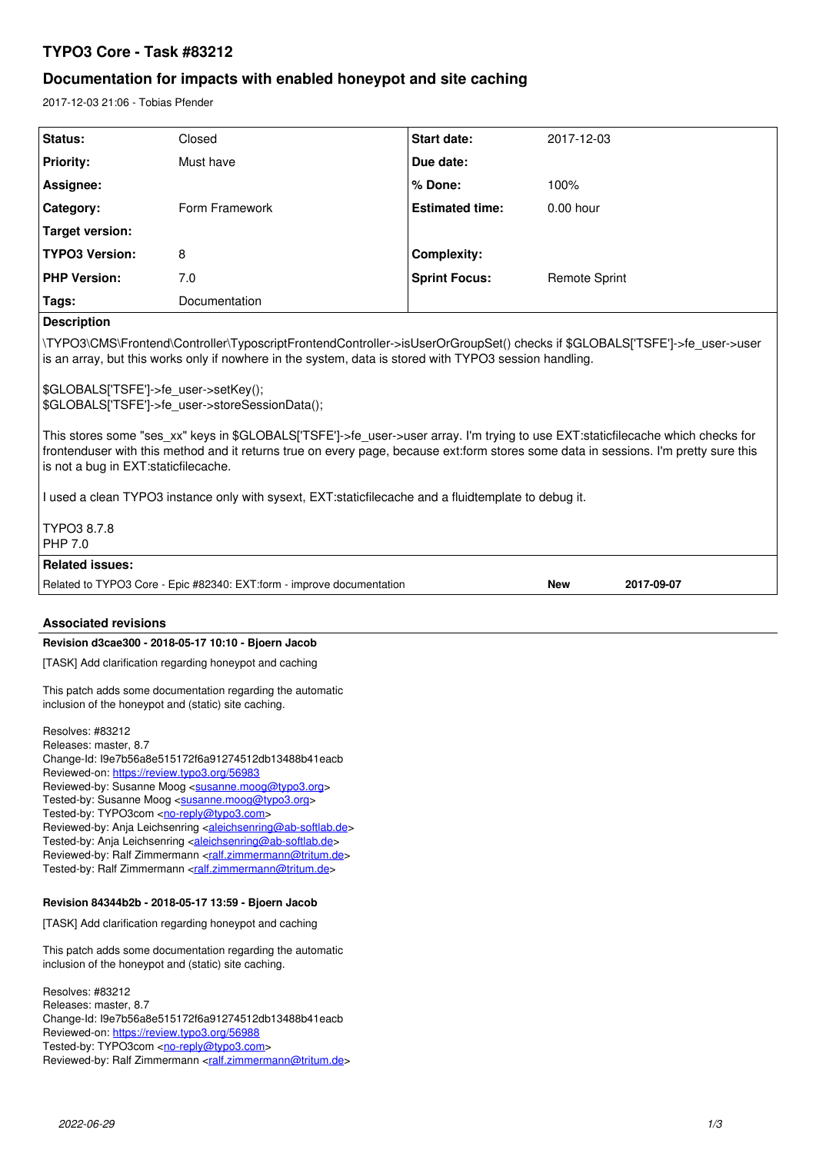# **TYPO3 Core - Task #83212**

# **Documentation for impacts with enabled honeypot and site caching**

2017-12-03 21:06 - Tobias Pfender

| Status:                                                                                                                                                                                                                                                                                                                                                                                                                   | Closed                                                                 | <b>Start date:</b>     | 2017-12-03               |
|---------------------------------------------------------------------------------------------------------------------------------------------------------------------------------------------------------------------------------------------------------------------------------------------------------------------------------------------------------------------------------------------------------------------------|------------------------------------------------------------------------|------------------------|--------------------------|
| <b>Priority:</b>                                                                                                                                                                                                                                                                                                                                                                                                          | Must have                                                              | Due date:              |                          |
| Assignee:                                                                                                                                                                                                                                                                                                                                                                                                                 |                                                                        | % Done:                | 100%                     |
| Category:                                                                                                                                                                                                                                                                                                                                                                                                                 | Form Framework                                                         | <b>Estimated time:</b> | $0.00$ hour              |
| <b>Target version:</b>                                                                                                                                                                                                                                                                                                                                                                                                    |                                                                        |                        |                          |
| <b>TYPO3 Version:</b>                                                                                                                                                                                                                                                                                                                                                                                                     | 8                                                                      | <b>Complexity:</b>     |                          |
| <b>PHP Version:</b>                                                                                                                                                                                                                                                                                                                                                                                                       | 7.0                                                                    | <b>Sprint Focus:</b>   | <b>Remote Sprint</b>     |
| Tags:                                                                                                                                                                                                                                                                                                                                                                                                                     | Documentation                                                          |                        |                          |
| <b>Description</b>                                                                                                                                                                                                                                                                                                                                                                                                        |                                                                        |                        |                          |
| \TYPO3\CMS\Frontend\Controller\TyposcriptFrontendController->isUserOrGroupSet() checks if \$GLOBALS['TSFE']->fe user->user<br>is an array, but this works only if nowhere in the system, data is stored with TYPO3 session handling.                                                                                                                                                                                      |                                                                        |                        |                          |
| \$GLOBALS['TSFE']->fe_user->setKey();<br>\$GLOBALS['TSFE']->fe_user->storeSessionData();                                                                                                                                                                                                                                                                                                                                  |                                                                        |                        |                          |
| This stores some "ses_xx" keys in \$GLOBALS['TSFE']->fe_user->user array. I'm trying to use EXT:staticfilecache which checks for<br>frontenduser with this method and it returns true on every page, because ext:form stores some data in sessions. I'm pretty sure this<br>is not a bug in EXT: staticfilecache.<br>I used a clean TYPO3 instance only with sysext, EXT:staticfilecache and a fluidtemplate to debug it. |                                                                        |                        |                          |
| TYPO3 8.7.8<br>PHP 7.0                                                                                                                                                                                                                                                                                                                                                                                                    |                                                                        |                        |                          |
| <b>Related issues:</b>                                                                                                                                                                                                                                                                                                                                                                                                    |                                                                        |                        |                          |
|                                                                                                                                                                                                                                                                                                                                                                                                                           | Related to TYPO3 Core - Epic #82340: EXT: form - improve documentation |                        | <b>New</b><br>2017-09-07 |
|                                                                                                                                                                                                                                                                                                                                                                                                                           |                                                                        |                        |                          |
| <b>Associated revisions</b>                                                                                                                                                                                                                                                                                                                                                                                               |                                                                        |                        |                          |
| Revision d3cae300 - 2018-05-17 10:10 - Bjoern Jacob                                                                                                                                                                                                                                                                                                                                                                       |                                                                        |                        |                          |
| [TASK] Add clarification regarding honeypot and caching                                                                                                                                                                                                                                                                                                                                                                   |                                                                        |                        |                          |
| This patch adds some documentation regarding the automatic<br>inclusion of the honeypot and (static) site caching.                                                                                                                                                                                                                                                                                                        |                                                                        |                        |                          |
| Resolves: #83212<br>Releases: master, 8.7<br>Change-Id: I9e7b56a8e515172f6a91274512db13488b41eacb<br>Reviewed-on: https://review.tvpo3.org/56983<br>Reviewed-by: Susanne Moog <susanne.moog@typo3.org><br/>Tested-by: Susanne Moog <susanne.moog@typo3.org><br/>Tooted by: <math>TVDO2000</math>, no <math>ranh(@two2.2000)</math></susanne.moog@typo3.org></susanne.moog@typo3.org>                                      |                                                                        |                        |                          |

Tested-by: TYPO3com [<no-reply@typo3.com](mailto:no-reply@typo3.com)> Reviewed-by: Anja Leichsenring [<aleichsenring@ab-softlab.de>](mailto:aleichsenring@ab-softlab.de) Tested-by: Anja Leichsenring <[aleichsenring@ab-softlab.de](mailto:aleichsenring@ab-softlab.de)> Reviewed-by: Ralf Zimmermann <<u>ralf.zimmermann@tritum.de</u>> Tested-by: Ralf Zimmermann <[ralf.zimmermann@tritum.de](mailto:ralf.zimmermann@tritum.de)>

### **Revision 84344b2b - 2018-05-17 13:59 - Bjoern Jacob**

[TASK] Add clarification regarding honeypot and caching

This patch adds some documentation regarding the automatic inclusion of the honeypot and (static) site caching.

Resolves: #83212 Releases: master, 8.7 Change-Id: I9e7b56a8e515172f6a91274512db13488b41eacb Reviewed-on:<https://review.typo3.org/56988> Tested-by: TYPO3com <<u>no-reply@typo3.com</u>> Reviewed-by: Ralf Zimmermann [<ralf.zimmermann@tritum.de](mailto:ralf.zimmermann@tritum.de)>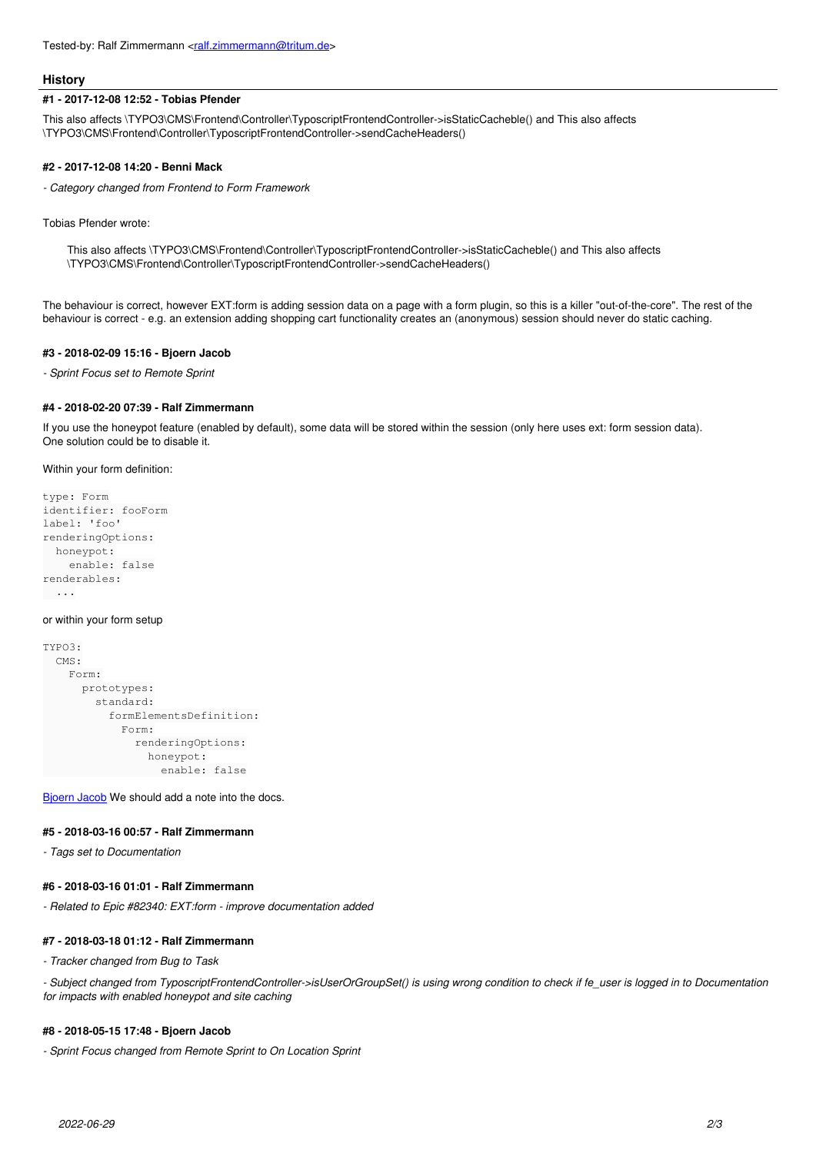#### **History**

#### **#1 - 2017-12-08 12:52 - Tobias Pfender**

This also affects \TYPO3\CMS\Frontend\Controller\TyposcriptFrontendController->isStaticCacheble() and This also affects \TYPO3\CMS\Frontend\Controller\TyposcriptFrontendController->sendCacheHeaders()

#### **#2 - 2017-12-08 14:20 - Benni Mack**

*- Category changed from Frontend to Form Framework*

Tobias Pfender wrote:

This also affects \TYPO3\CMS\Frontend\Controller\TyposcriptFrontendController->isStaticCacheble() and This also affects \TYPO3\CMS\Frontend\Controller\TyposcriptFrontendController->sendCacheHeaders()

The behaviour is correct, however EXT:form is adding session data on a page with a form plugin, so this is a killer "out-of-the-core". The rest of the behaviour is correct - e.g. an extension adding shopping cart functionality creates an (anonymous) session should never do static caching.

### **#3 - 2018-02-09 15:16 - Bjoern Jacob**

*- Sprint Focus set to Remote Sprint*

#### **#4 - 2018-02-20 07:39 - Ralf Zimmermann**

If you use the honeypot feature (enabled by default), some data will be stored within the session (only here uses ext: form session data). One solution could be to disable it.

Within your form definition:

```
type: Form
identifier: fooForm
label: 'foo'
renderingOptions:
    honeypot:
        enable: false
renderables:
   ...
```
#### or within your form setup

```
TYPO3:
     CMS:
           Form:
                 prototypes:
                       standard:
                            formElementsDefinition:
                                  Form:
                                        renderingOptions:
                                              honeypot:
                                                  enable: false
```
[Bjoern Jacob](https://forge.typo3.org/users/1909) We should add a note into the docs.

### **#5 - 2018-03-16 00:57 - Ralf Zimmermann**

*- Tags set to Documentation*

### **#6 - 2018-03-16 01:01 - Ralf Zimmermann**

*- Related to Epic #82340: EXT:form - improve documentation added*

#### **#7 - 2018-03-18 01:12 - Ralf Zimmermann**

*- Tracker changed from Bug to Task*

*- Subject changed from TyposcriptFrontendController->isUserOrGroupSet() is using wrong condition to check if fe\_user is logged in to Documentation for impacts with enabled honeypot and site caching*

### **#8 - 2018-05-15 17:48 - Bjoern Jacob**

*- Sprint Focus changed from Remote Sprint to On Location Sprint*